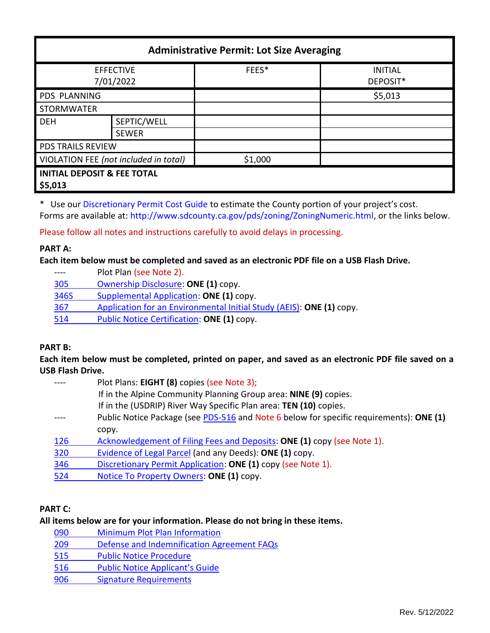| <b>Administrative Permit: Lot Size Averaging</b>  |              |         |                            |  |  |  |
|---------------------------------------------------|--------------|---------|----------------------------|--|--|--|
| <b>EFFECTIVE</b><br>7/01/2022                     |              | FEES*   | <b>INITIAL</b><br>DEPOSIT* |  |  |  |
| <b>PDS PLANNING</b>                               |              |         | \$5,013                    |  |  |  |
| <b>STORMWATER</b>                                 |              |         |                            |  |  |  |
| <b>DEH</b>                                        | SEPTIC/WELL  |         |                            |  |  |  |
|                                                   | <b>SEWER</b> |         |                            |  |  |  |
| <b>PDS TRAILS REVIEW</b>                          |              |         |                            |  |  |  |
| VIOLATION FEE (not included in total)             |              | \$1,000 |                            |  |  |  |
| <b>INITIAL DEPOSIT &amp; FEE TOTAL</b><br>\$5,013 |              |         |                            |  |  |  |

\* Use ou[r Discretionary Permit Cost Guide](http://www.sandiegocounty.gov/content/dam/sdc/pds/docs/Discretionary_Permit_Cost_Guide.xlsx) to estimate the County portion of your project's cost. Forms are available at[: http://www.sdcounty.ca.gov/pds/zoning/ZoningNumeric.html,](http://www.sdcounty.ca.gov/pds/zoning/ZoningNumeric.html) or the links below.

Please follow all notes and instructions carefully to avoid delays in processing.

### **PART A:**

**Each item below must be completed and saved as an electronic PDF file on a USB Flash Drive.**

---- Plot Plan (see Note 2). [305 Ownership Disclosure:](https://www.sandiegocounty.gov/content/dam/sdc/pds/zoning/formfields/PDS-PLN-305.pdf) **ONE (1)** copy. [346S Supplemental Application:](https://www.sandiegocounty.gov/content/dam/sdc/pds/zoning/formfields/PDS-PLN-346S.pdf) **ONE (1)** copy. 367 [Application for an Environmental Initial Study \(AEIS\):](https://www.sandiegocounty.gov/content/dam/sdc/pds/zoning/formfields/PDS-PLN-367.pdf) **ONE (1)** copy. [514 Public Notice Certification:](https://www.sandiegocounty.gov/content/dam/sdc/pds/zoning/formfields/PDS-PLN-514.pdf) **ONE (1)** copy.

### **PART B:**

**Each item below must be completed, printed on paper, and saved as an electronic PDF file saved on a USB Flash Drive.**

|     | Plot Plans: EIGHT (8) copies (see Note 3);                                              |  |  |
|-----|-----------------------------------------------------------------------------------------|--|--|
|     | If in the Alpine Community Planning Group area: NINE (9) copies.                        |  |  |
|     | If in the (USDRIP) River Way Specific Plan area: TEN (10) copies.                       |  |  |
|     | Public Notice Package (see PDS-516 and Note 6 below for specific requirements): ONE (1) |  |  |
|     | copy.                                                                                   |  |  |
| 126 | Acknowledgement of Filing Fees and Deposits: ONE (1) copy (see Note 1).                 |  |  |
| 320 | Evidence of Legal Parcel (and any Deeds): ONE (1) copy.                                 |  |  |
| 346 | Discretionary Permit Application: ONE (1) copy (see Note 1).                            |  |  |
| 524 | Notice To Property Owners: ONE (1) copy.                                                |  |  |
|     |                                                                                         |  |  |

# **PART C:**

### **All items below are for your information. Please do not bring in these items.**

| 090 | <b>Minimum Plot Plan Information</b>       |
|-----|--------------------------------------------|
| 209 | Defense and Indemnification Agreement FAQs |
| 515 | <b>Public Notice Procedure</b>             |
| 516 | <b>Public Notice Applicant's Guide</b>     |
| 906 | <b>Signature Requirements</b>              |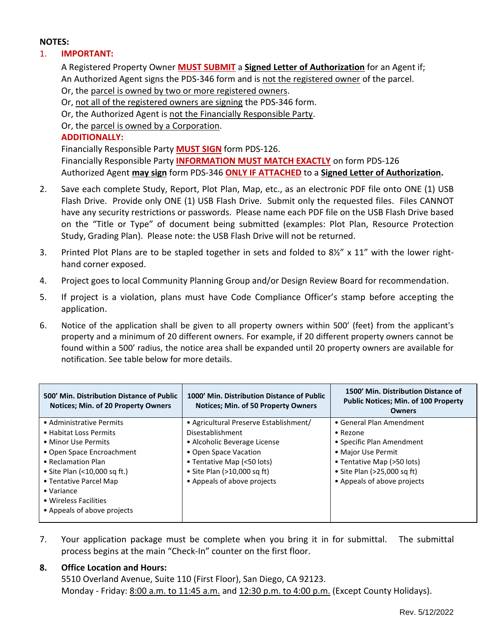## **NOTES:**

## 1. **IMPORTANT:**

A Registered Property Owner **MUST SUBMIT** a **Signed Letter of Authorization** for an Agent if; An Authorized Agent signs the PDS-346 form and is not the registered owner of the parcel.

- Or, the parcel is owned by two or more registered owners.
- Or, not all of the registered owners are signing the PDS-346 form.
- Or, the Authorized Agent is not the Financially Responsible Party.
- Or, the parcel is owned by a Corporation.

## **ADDITIONALLY:**

Financially Responsible Party **MUST SIGN** form PDS-126. Financially Responsible Party **INFORMATION MUST MATCH EXACTLY** on form PDS-126 Authorized Agent **may sign** form PDS-346 **ONLY IF ATTACHED** to a **Signed Letter of Authorization.**

- 2. Save each complete Study, Report, Plot Plan, Map, etc., as an electronic PDF file onto ONE (1) USB Flash Drive. Provide only ONE (1) USB Flash Drive. Submit only the requested files. Files CANNOT have any security restrictions or passwords. Please name each PDF file on the USB Flash Drive based on the "Title or Type" of document being submitted (examples: Plot Plan, Resource Protection Study, Grading Plan). Please note: the USB Flash Drive will not be returned.
- 3. Printed Plot Plans are to be stapled together in sets and folded to 8½" x 11" with the lower righthand corner exposed.
- 4. Project goes to local Community Planning Group and/or Design Review Board for recommendation.
- 5. If project is a violation, plans must have Code Compliance Officer's stamp before accepting the application.
- 6. Notice of the application shall be given to all property owners within 500' (feet) from the applicant's property and a minimum of 20 different owners. For example, if 20 different property owners cannot be found within a 500' radius, the notice area shall be expanded until 20 property owners are available for notification. See table below for more details.

| 500' Min. Distribution Distance of Public<br>Notices; Min. of 20 Property Owners | 1000' Min. Distribution Distance of Public<br><b>Notices: Min. of 50 Property Owners</b> | 1500' Min. Distribution Distance of<br><b>Public Notices; Min. of 100 Property</b><br><b>Owners</b> |
|----------------------------------------------------------------------------------|------------------------------------------------------------------------------------------|-----------------------------------------------------------------------------------------------------|
| • Administrative Permits                                                         | • Agricultural Preserve Establishment/                                                   | • General Plan Amendment                                                                            |
| • Habitat Loss Permits                                                           | Disestablishment                                                                         | $\bullet$ Rezone                                                                                    |
| • Minor Use Permits                                                              | • Alcoholic Beverage License                                                             | • Specific Plan Amendment                                                                           |
| • Open Space Encroachment                                                        | • Open Space Vacation                                                                    | • Major Use Permit                                                                                  |
| • Reclamation Plan                                                               | • Tentative Map (<50 lots)                                                               | • Tentative Map (>50 lots)                                                                          |
| • Site Plan (<10,000 sq ft.)                                                     | • Site Plan $(>10,000$ sq ft)                                                            | • Site Plan (>25,000 sq ft)                                                                         |
| • Tentative Parcel Map                                                           | • Appeals of above projects                                                              | • Appeals of above projects                                                                         |
| $\bullet$ Variance                                                               |                                                                                          |                                                                                                     |
| • Wireless Facilities                                                            |                                                                                          |                                                                                                     |
| • Appeals of above projects                                                      |                                                                                          |                                                                                                     |
|                                                                                  |                                                                                          |                                                                                                     |

7. Your application package must be complete when you bring it in for submittal. The submittal process begins at the main "Check-In" counter on the first floor.

# **8. Office Location and Hours:**

5510 Overland Avenue, Suite 110 (First Floor), San Diego, CA 92123. Monday - Friday: 8:00 a.m. to 11:45 a.m. and 12:30 p.m. to 4:00 p.m. (Except County Holidays).